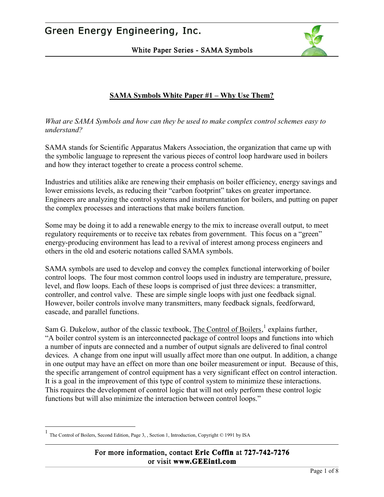White Paper Series - SAMA Symbols



### **SAMA Symbols White Paper #1 – Why Use Them?**

*What are SAMA Symbols and how can they be used to make complex control schemes easy to understand?* 

SAMA stands for Scientific Apparatus Makers Association, the organization that came up with the symbolic language to represent the various pieces of control loop hardware used in boilers and how they interact together to create a process control scheme.

Industries and utilities alike are renewing their emphasis on boiler efficiency, energy savings and lower emissions levels, as reducing their "carbon footprint" takes on greater importance. Engineers are analyzing the control systems and instrumentation for boilers, and putting on paper the complex processes and interactions that make boilers function.

Some may be doing it to add a renewable energy to the mix to increase overall output, to meet regulatory requirements or to receive tax rebates from government. This focus on a "green" energy-producing environment has lead to a revival of interest among process engineers and others in the old and esoteric notations called SAMA symbols.

SAMA symbols are used to develop and convey the complex functional interworking of boiler control loops. The four most common control loops used in industry are temperature, pressure, level, and flow loops. Each of these loops is comprised of just three devices: a transmitter, controller, and control valve. These are simple single loops with just one feedback signal. However, boiler controls involve many transmitters, many feedback signals, feedforward, cascade, and parallel functions.

Sam G. Dukelow, author of the classic textbook, The Control of Boilers,<sup>1</sup> explains further, "A boiler control system is an interconnected package of control loops and functions into which a number of inputs are connected and a number of output signals are delivered to final control devices. A change from one input will usually affect more than one output. In addition, a change in one output may have an effect on more than one boiler measurement or input. Because of this, the specific arrangement of control equipment has a very significant effect on control interaction. It is a goal in the improvement of this type of control system to minimize these interactions. This requires the development of control logic that will not only perform these control logic functions but will also minimize the interaction between control loops."

<u>.</u>

<sup>1&</sup>lt;br>The Control of Boilers, Second Edition, Page 3, , Section 1, Introduction, Copyright © 1991 by ISA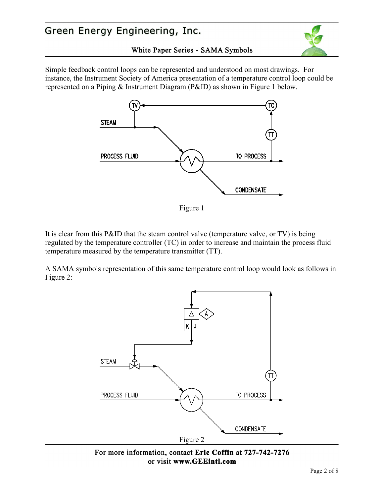



Simple feedback control loops can be represented and understood on most drawings. For instance, the Instrument Society of America presentation of a temperature control loop could be represented on a Piping & Instrument Diagram (P&ID) as shown in Figure 1 below.



Figure 1

It is clear from this P&ID that the steam control valve (temperature valve, or TV) is being regulated by the temperature controller (TC) in order to increase and maintain the process fluid temperature measured by the temperature transmitter (TT).

A SAMA symbols representation of this same temperature control loop would look as follows in Figure 2:



For more information, contact Eric Coffin at 727-742-7276 or visit www.GEEintl.com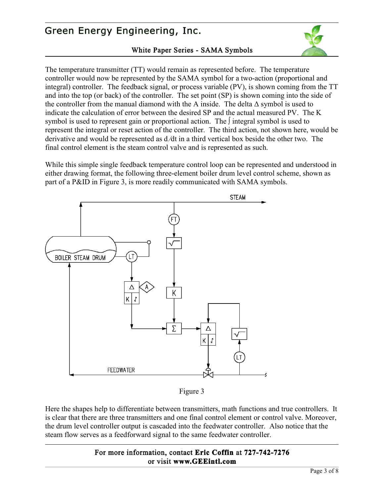#### White Paper Series - SAMA Symbols



The temperature transmitter (TT) would remain as represented before. The temperature controller would now be represented by the SAMA symbol for a two-action (proportional and integral) controller. The feedback signal, or process variable (PV), is shown coming from the TT and into the top (or back) of the controller. The set point (SP) is shown coming into the side of the controller from the manual diamond with the A inside. The delta  $\Delta$  symbol is used to indicate the calculation of error between the desired SP and the actual measured PV. The K symbol is used to represent gain or proportional action. The ∫ integral symbol is used to represent the integral or reset action of the controller. The third action, not shown here, would be derivative and would be represented as d ∕dt in a third vertical box beside the other two. The final control element is the steam control valve and is represented as such.

While this simple single feedback temperature control loop can be represented and understood in either drawing format, the following three-element boiler drum level control scheme, shown as part of a P&ID in Figure 3, is more readily communicated with SAMA symbols.



Figure 3

Here the shapes help to differentiate between transmitters, math functions and true controllers. It is clear that there are three transmitters and one final control element or control valve. Moreover, the drum level controller output is cascaded into the feedwater controller. Also notice that the steam flow serves as a feedforward signal to the same feedwater controller.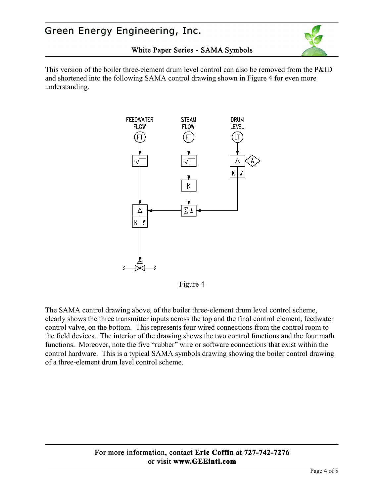

#### White Paper Series - SAMA Symbols

This version of the boiler three-element drum level control can also be removed from the P&ID and shortened into the following SAMA control drawing shown in Figure 4 for even more understanding.



Figure 4

The SAMA control drawing above, of the boiler three-element drum level control scheme, clearly shows the three transmitter inputs across the top and the final control element, feedwater control valve, on the bottom. This represents four wired connections from the control room to the field devices. The interior of the drawing shows the two control functions and the four math functions. Moreover, note the five "rubber" wire or software connections that exist within the control hardware. This is a typical SAMA symbols drawing showing the boiler control drawing of a three-element drum level control scheme.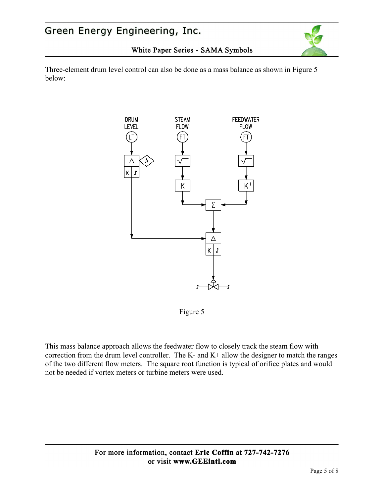

White Paper Series - SAMA Symbols

Three-element drum level control can also be done as a mass balance as shown in Figure 5 below:



Figure 5

This mass balance approach allows the feedwater flow to closely track the steam flow with correction from the drum level controller. The K- and K+ allow the designer to match the ranges of the two different flow meters. The square root function is typical of orifice plates and would not be needed if vortex meters or turbine meters were used.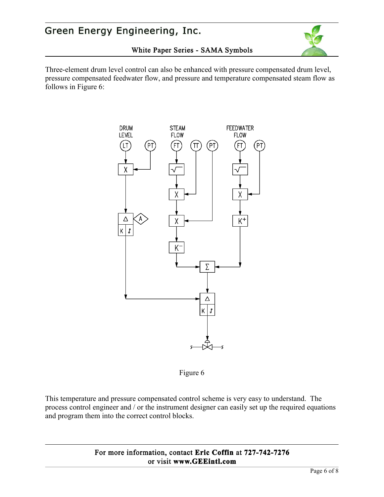

White Paper Series - SAMA Symbols

Three-element drum level control can also be enhanced with pressure compensated drum level, pressure compensated feedwater flow, and pressure and temperature compensated steam flow as follows in Figure 6:

**DRUM STEAM FEEDWATER FLOW LEVEL FLOW** Έ TT Δ Α  $K^+$ χ  $K$   $f$ Κ Σ Δ k | r

Figure 6

This temperature and pressure compensated control scheme is very easy to understand. The process control engineer and / or the instrument designer can easily set up the required equations and program them into the correct control blocks.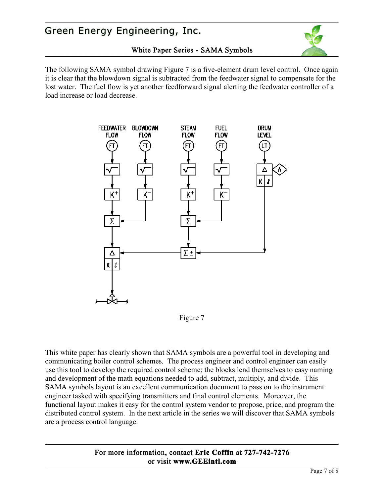#### White Paper Series - SAMA Symbols



The following SAMA symbol drawing Figure 7 is a five-element drum level control. Once again it is clear that the blowdown signal is subtracted from the feedwater signal to compensate for the lost water. The fuel flow is yet another feedforward signal alerting the feedwater controller of a load increase or load decrease.



#### Figure 7

This white paper has clearly shown that SAMA symbols are a powerful tool in developing and communicating boiler control schemes. The process engineer and control engineer can easily use this tool to develop the required control scheme; the blocks lend themselves to easy naming and development of the math equations needed to add, subtract, multiply, and divide. This SAMA symbols layout is an excellent communication document to pass on to the instrument engineer tasked with specifying transmitters and final control elements. Moreover, the functional layout makes it easy for the control system vendor to propose, price, and program the distributed control system. In the next article in the series we will discover that SAMA symbols are a process control language.